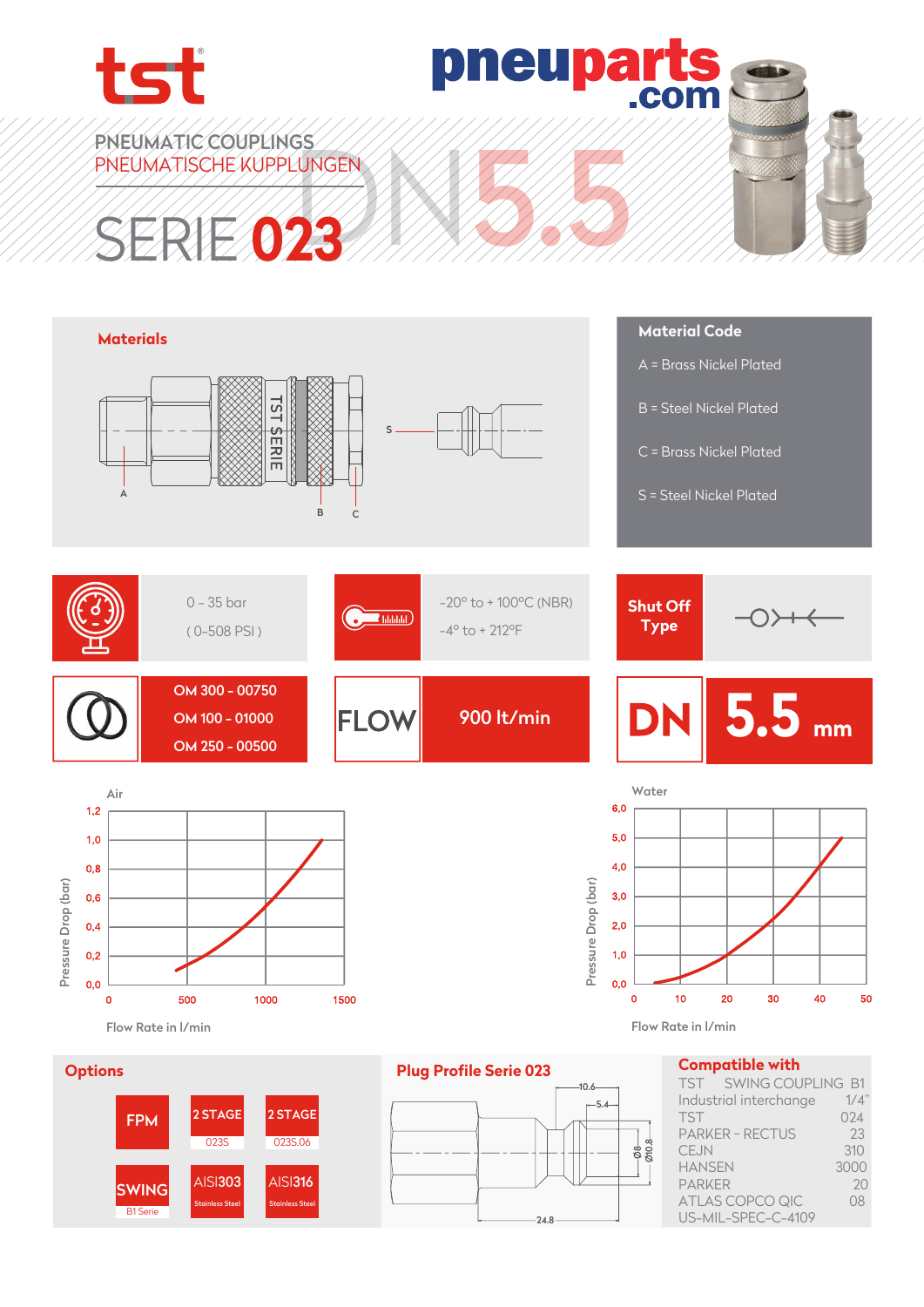

pneupart: com

PNEUMATIC COUPLINGS PNEUMATISCHE KUPPLUNGEN

# UNGEN HANG SERIE **023**